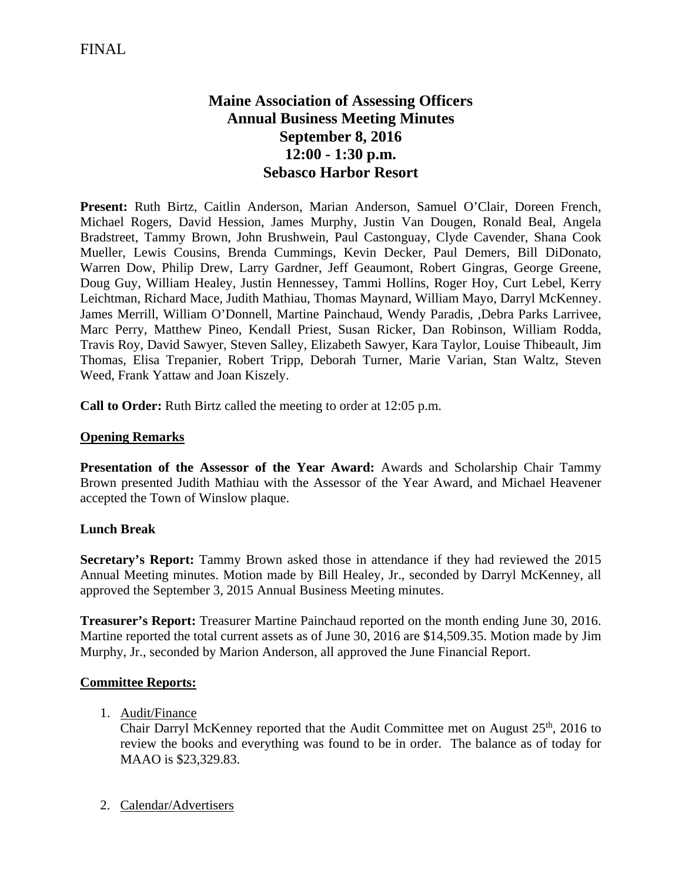# **Maine Association of Assessing Officers Annual Business Meeting Minutes September 8, 2016 12:00 - 1:30 p.m. Sebasco Harbor Resort**

**Present:** Ruth Birtz, Caitlin Anderson, Marian Anderson, Samuel O'Clair, Doreen French, Michael Rogers, David Hession, James Murphy, Justin Van Dougen, Ronald Beal, Angela Bradstreet, Tammy Brown, John Brushwein, Paul Castonguay, Clyde Cavender, Shana Cook Mueller, Lewis Cousins, Brenda Cummings, Kevin Decker, Paul Demers, Bill DiDonato, Warren Dow, Philip Drew, Larry Gardner, Jeff Geaumont, Robert Gingras, George Greene, Doug Guy, William Healey, Justin Hennessey, Tammi Hollins, Roger Hoy, Curt Lebel, Kerry Leichtman, Richard Mace, Judith Mathiau, Thomas Maynard, William Mayo, Darryl McKenney. James Merrill, William O'Donnell, Martine Painchaud, Wendy Paradis, ,Debra Parks Larrivee, Marc Perry, Matthew Pineo, Kendall Priest, Susan Ricker, Dan Robinson, William Rodda, Travis Roy, David Sawyer, Steven Salley, Elizabeth Sawyer, Kara Taylor, Louise Thibeault, Jim Thomas, Elisa Trepanier, Robert Tripp, Deborah Turner, Marie Varian, Stan Waltz, Steven Weed, Frank Yattaw and Joan Kiszely.

**Call to Order:** Ruth Birtz called the meeting to order at 12:05 p.m.

## **Opening Remarks**

**Presentation of the Assessor of the Year Award:** Awards and Scholarship Chair Tammy Brown presented Judith Mathiau with the Assessor of the Year Award, and Michael Heavener accepted the Town of Winslow plaque.

### **Lunch Break**

**Secretary's Report:** Tammy Brown asked those in attendance if they had reviewed the 2015 Annual Meeting minutes. Motion made by Bill Healey, Jr., seconded by Darryl McKenney, all approved the September 3, 2015 Annual Business Meeting minutes.

**Treasurer's Report:** Treasurer Martine Painchaud reported on the month ending June 30, 2016. Martine reported the total current assets as of June 30, 2016 are \$14,509.35. Motion made by Jim Murphy, Jr., seconded by Marion Anderson, all approved the June Financial Report.

### **Committee Reports:**

1. Audit/Finance

Chair Darryl McKenney reported that the Audit Committee met on August  $25<sup>th</sup>$ , 2016 to review the books and everything was found to be in order. The balance as of today for MAAO is \$23,329.83.

2. Calendar/Advertisers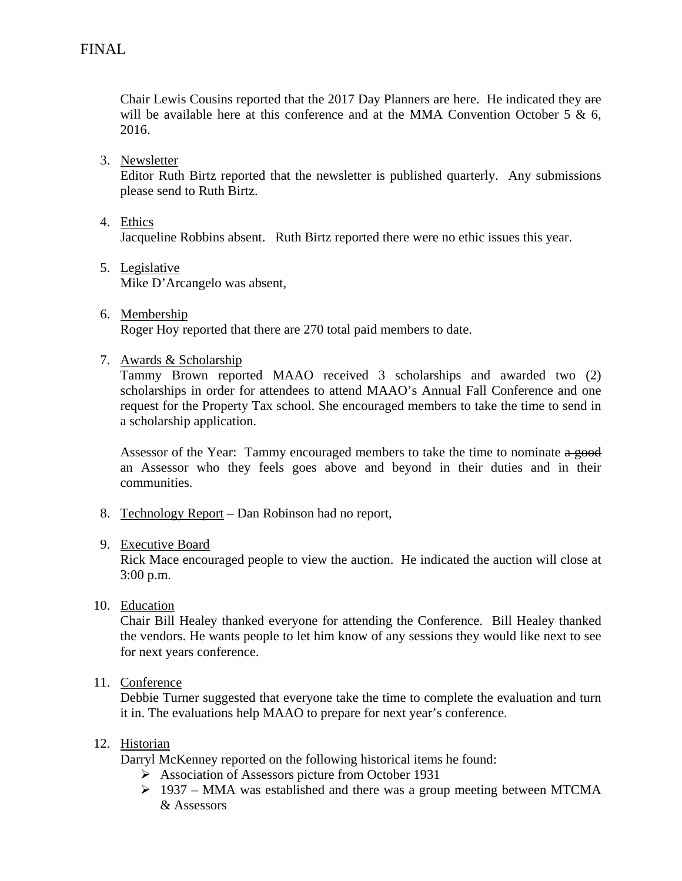Chair Lewis Cousins reported that the 2017 Day Planners are here. He indicated they are will be available here at this conference and at the MMA Convention October 5  $\&$  6, 2016.

3. Newsletter

Editor Ruth Birtz reported that the newsletter is published quarterly. Any submissions please send to Ruth Birtz.

4. Ethics

Jacqueline Robbins absent. Ruth Birtz reported there were no ethic issues this year.

- 5. Legislative Mike D'Arcangelo was absent,
- 6. Membership Roger Hoy reported that there are 270 total paid members to date.
- 7. Awards & Scholarship

Tammy Brown reported MAAO received 3 scholarships and awarded two (2) scholarships in order for attendees to attend MAAO's Annual Fall Conference and one request for the Property Tax school. She encouraged members to take the time to send in a scholarship application.

Assessor of the Year: Tammy encouraged members to take the time to nominate a good an Assessor who they feels goes above and beyond in their duties and in their communities.

- 8. Technology Report Dan Robinson had no report,
- 9. Executive Board

Rick Mace encouraged people to view the auction. He indicated the auction will close at 3:00 p.m.

10. Education

Chair Bill Healey thanked everyone for attending the Conference. Bill Healey thanked the vendors. He wants people to let him know of any sessions they would like next to see for next years conference.

## 11. Conference

Debbie Turner suggested that everyone take the time to complete the evaluation and turn it in. The evaluations help MAAO to prepare for next year's conference.

### 12. Historian

Darryl McKenney reported on the following historical items he found:

- Association of Assessors picture from October 1931
- $\geq$  1937 MMA was established and there was a group meeting between MTCMA & Assessors